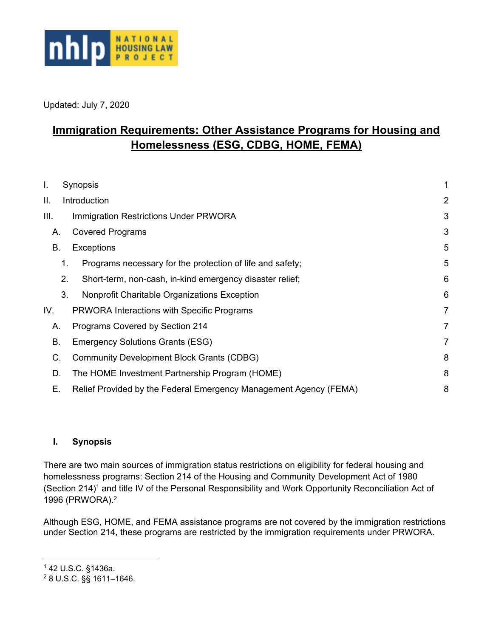

Updated: July 7, 2020

# **Immigration Requirements: Other Assistance Programs for Housing and Homelessness (ESG, CDBG, HOME, FEMA)**

| I.   | Synopsis                                             |                                                                   |                |
|------|------------------------------------------------------|-------------------------------------------------------------------|----------------|
| ΙΙ.  | Introduction                                         |                                                                   | $\overline{2}$ |
| III. | <b>Immigration Restrictions Under PRWORA</b>         |                                                                   | 3              |
| Α.   | <b>Covered Programs</b>                              |                                                                   | 3              |
| В.   | <b>Exceptions</b>                                    |                                                                   | 5              |
|      | 1.                                                   | Programs necessary for the protection of life and safety;         | 5              |
|      | 2.                                                   | Short-term, non-cash, in-kind emergency disaster relief;          | 6              |
|      | 3.                                                   | Nonprofit Charitable Organizations Exception                      | 6              |
| IV.  | <b>PRWORA Interactions with Specific Programs</b>    |                                                                   | $\overline{7}$ |
|      | Programs Covered by Section 214<br>Α.                |                                                                   | 7              |
| В.   | <b>Emergency Solutions Grants (ESG)</b>              |                                                                   | $\overline{7}$ |
| C.   |                                                      | <b>Community Development Block Grants (CDBG)</b>                  | 8              |
|      | The HOME Investment Partnership Program (HOME)<br>D. |                                                                   | 8              |
| Е.   |                                                      | Relief Provided by the Federal Emergency Management Agency (FEMA) | 8              |

### <span id="page-0-0"></span>**I. Synopsis**

There are two main sources of immigration status restrictions on eligibility for federal housing and homelessness programs: Section 214 of the Housing and Community Development Act of 1980 (Section 214)<sup>1</sup> and title IV of the Personal Responsibility and Work Opportunity Reconciliation Act of 1996 (PRWORA).<sup>2</sup>

Although ESG, HOME, and FEMA assistance programs are not covered by the immigration restrictions under Section 214, these programs are restricted by the immigration requirements under PRWORA.

 $\overline{a}$ 

<sup>1</sup> 42 U.S.C. §1436a.

<sup>2</sup> 8 U.S.C. §§ 1611–1646.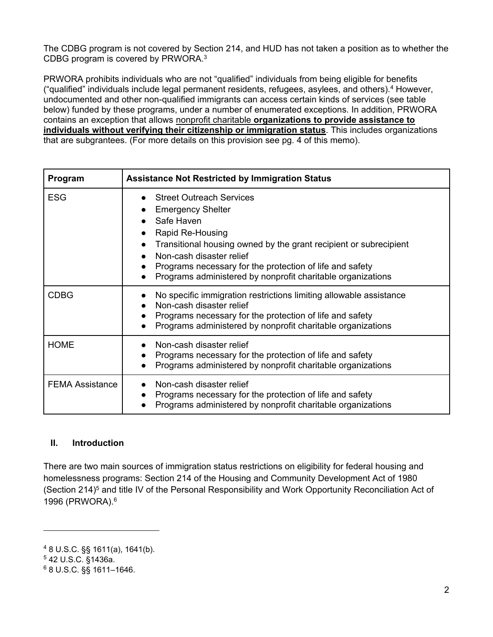The CDBG program is not covered by Section 214, and HUD has not taken a position as to whether the CDBG program is covered by PRWORA.<sup>3</sup>

PRWORA prohibits individuals who are not "qualified" individuals from being eligible for benefits ("qualified" individuals include legal permanent residents, refugees, asylees, and others).<sup>4</sup> However, undocumented and other non-qualified immigrants can access certain kinds of services (see table below) funded by these programs, under a number of enumerated exceptions. In addition, PRWORA contains an exception that allows nonprofit charitable **organizations to provide assistance to individuals without verifying their citizenship or immigration status**. This includes organizations that are subgrantees. (For more details on this provision see pg. 4 of this memo).

| Program                | <b>Assistance Not Restricted by Immigration Status</b>                                                                                                                                                                                                                                                                                                                        |  |  |
|------------------------|-------------------------------------------------------------------------------------------------------------------------------------------------------------------------------------------------------------------------------------------------------------------------------------------------------------------------------------------------------------------------------|--|--|
| <b>ESG</b>             | <b>Street Outreach Services</b><br><b>Emergency Shelter</b><br>$\bullet$<br>Safe Haven<br>Rapid Re-Housing<br>Transitional housing owned by the grant recipient or subrecipient<br>$\bullet$<br>Non-cash disaster relief<br>Programs necessary for the protection of life and safety<br>$\bullet$<br>Programs administered by nonprofit charitable organizations<br>$\bullet$ |  |  |
| <b>CDBG</b>            | No specific immigration restrictions limiting allowable assistance<br>Non-cash disaster relief<br>Programs necessary for the protection of life and safety<br>Programs administered by nonprofit charitable organizations                                                                                                                                                     |  |  |
| <b>HOME</b>            | Non-cash disaster relief<br>Programs necessary for the protection of life and safety<br>$\bullet$<br>Programs administered by nonprofit charitable organizations                                                                                                                                                                                                              |  |  |
| <b>FEMA Assistance</b> | Non-cash disaster relief<br>Programs necessary for the protection of life and safety<br>$\bullet$<br>Programs administered by nonprofit charitable organizations                                                                                                                                                                                                              |  |  |

#### <span id="page-1-0"></span>**II. Introduction**

There are two main sources of immigration status restrictions on eligibility for federal housing and homelessness programs: Section 214 of the Housing and Community Development Act of 1980 (Section 214)<sup>5</sup> and title IV of the Personal Responsibility and Work Opportunity Reconciliation Act of 1996 (PRWORA).<sup>6</sup>

 $\overline{a}$ 

<sup>4</sup> 8 U.S.C. §§ 1611(a), 1641(b).

<sup>5</sup> 42 U.S.C. §1436a.

<sup>6</sup> 8 U.S.C. §§ 1611–1646.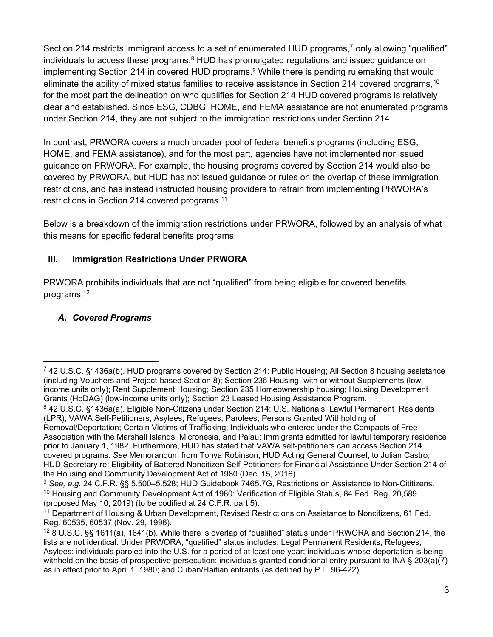Section 214 restricts immigrant access to a set of enumerated HUD programs,<sup>7</sup> only allowing "qualified" individuals to access these programs. $8$  HUD has promulgated regulations and issued guidance on implementing Section 214 in covered HUD programs.<sup>9</sup> While there is pending rulemaking that would eliminate the ability of mixed status families to receive assistance in Section 214 covered programs,  $10$ for the most part the delineation on who qualifies for Section 214 HUD covered programs is relatively clear and established. Since ESG, CDBG, HOME, and FEMA assistance are not enumerated programs under Section 214, they are not subject to the immigration restrictions under Section 214.

In contrast, PRWORA covers a much broader pool of federal benefits programs (including ESG, HOME, and FEMA assistance), and for the most part, agencies have not implemented nor issued guidance on PRWORA. For example, the housing programs covered by Section 214 would also be covered by PRWORA, but HUD has not issued guidance or rules on the overlap of these immigration restrictions, and has instead instructed housing providers to refrain from implementing PRWORA's restrictions in Section 214 covered programs.<sup>11</sup>

Below is a breakdown of the immigration restrictions under PRWORA, followed by an analysis of what this means for specific federal benefits programs.

### <span id="page-2-0"></span>**III. Immigration Restrictions Under PRWORA**

PRWORA prohibits individuals that are not "qualified" from being eligible for covered benefits programs.<sup>12</sup>

### <span id="page-2-1"></span>*A. Covered Programs*

<sup>7</sup> 42 U.S.C. §1436a(b). HUD programs covered by Section 214: Public Housing; All Section 8 housing assistance (including Vouchers and Project-based Section 8); Section 236 Housing, with or without Supplements (lowincome units only); Rent Supplement Housing; Section 235 Homeownership housing; Housing Development Grants (HoDAG) (low-income units only); Section 23 Leased Housing Assistance Program.

<sup>8</sup> 42 U.S.C. §1436a(a). Eligible Non-Citizens under Section 214: U.S. Nationals; Lawful Permanent Residents (LPR); VAWA Self-Petitioners; Asylees; Refugees; Parolees; Persons Granted Withholding of

Removal/Deportation; Certain Victims of Trafficking; Individuals who entered under the Compacts of Free Association with the Marshall Islands, Micronesia, and Palau; Immigrants admitted for lawful temporary residence prior to January 1, 1982. Furthermore, HUD has stated that VAWA self-petitioners can access Section 214 covered programs. *See* Memorandum from Tonya Robinson, HUD Acting General Counsel, to Julian Castro, HUD Secretary re: Eligibility of Battered Noncitizen Self-Petitioners for Financial Assistance Under Section 214 of the Housing and Community Development Act of 1980 (Dec. 15, 2016).

<sup>9</sup> *See, e.g.* 24 C.F.R. §§ 5.500–5.528; HUD Guidebook 7465.7G, Restrictions on Assistance to Non-Cititizens. <sup>10</sup> Housing and Community Development Act of 1980: Verification of Eligible Status, 84 Fed. Reg. 20,589 (proposed May 10, 2019) (to be codified at 24 C.F.R. part 5).

<sup>&</sup>lt;sup>11</sup> Department of Housing & Urban Development, Revised Restrictions on Assistance to Noncitizens, 61 Fed. Reg. 60535, 60537 (Nov. 29, 1996).

<sup>12</sup> 8 U.S.C. §§ 1611(a), 1641(b). While there is overlap of "qualified" status under PRWORA and Section 214, the lists are not identical. Under PRWORA, "qualified" status includes: Legal Permanent Residents; Refugees; Asylees; individuals paroled into the U.S. for a period of at least one year; individuals whose deportation is being withheld on the basis of prospective persecution; individuals granted conditional entry pursuant to INA § 203(a)(7) as in effect prior to April 1, 1980; and Cuban/Haitian entrants (as defined by P.L. 96-422).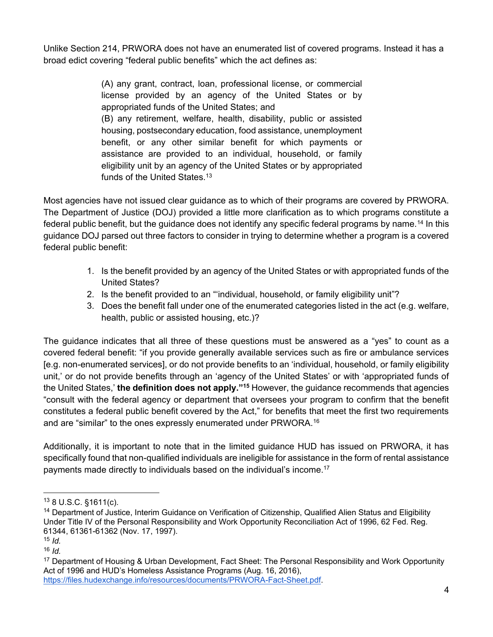Unlike Section 214, PRWORA does not have an enumerated list of covered programs. Instead it has a broad edict covering "federal public benefits" which the act defines as:

> (A) any grant, contract, loan, professional license, or commercial license provided by an agency of the United States or by appropriated funds of the United States; and (B) any retirement, welfare, health, disability, public or assisted housing, postsecondary education, food assistance, unemployment benefit, or any other similar benefit for which payments or assistance are provided to an individual, household, or family eligibility unit by an agency of the United States or by appropriated funds of the United States.<sup>13</sup>

Most agencies have not issued clear guidance as to which of their programs are covered by PRWORA. The Department of Justice (DOJ) provided a little more clarification as to which programs constitute a federal public benefit, but the guidance does not identify any specific federal programs by name.<sup>14</sup> In this guidance DOJ parsed out three factors to consider in trying to determine whether a program is a covered federal public benefit:

- 1. Is the benefit provided by an agency of the United States or with appropriated funds of the United States?
- 2. Is the benefit provided to an "'individual, household, or family eligibility unit"?
- 3. Does the benefit fall under one of the enumerated categories listed in the act (e.g. welfare, health, public or assisted housing, etc.)?

The guidance indicates that all three of these questions must be answered as a "yes" to count as a covered federal benefit: "if you provide generally available services such as fire or ambulance services [e.g. non-enumerated services], or do not provide benefits to an 'individual, household, or family eligibility unit,' or do not provide benefits through an 'agency of the United States' or with 'appropriated funds of the United States,' **the definition does not apply."<sup>15</sup>** However, the guidance recommends that agencies "consult with the federal agency or department that oversees your program to confirm that the benefit constitutes a federal public benefit covered by the Act," for benefits that meet the first two requirements and are "similar" to the ones expressly enumerated under PRWORA.<sup>16</sup>

Additionally, it is important to note that in the limited guidance HUD has issued on PRWORA, it has specifically found that non-qualified individuals are ineligible for assistance in the form of rental assistance payments made directly to individuals based on the individual's income.<sup>17</sup>

 $\overline{a}$ 

<sup>13</sup> 8 U.S.C. §1611(c).

<sup>&</sup>lt;sup>14</sup> Department of Justice, Interim Guidance on Verification of Citizenship, Qualified Alien Status and Eligibility Under Title IV of the Personal Responsibility and Work Opportunity Reconciliation Act of 1996, 62 Fed. Reg. 61344, 61361-61362 (Nov. 17, 1997).

<sup>15</sup> *Id.*

<sup>16</sup> *Id.* 

<sup>&</sup>lt;sup>17</sup> Department of Housing & Urban Development, Fact Sheet: The Personal Responsibility and Work Opportunity Act of 1996 and HUD's Homeless Assistance Programs (Aug. 16, 2016), [https://files.hudexchange.info/resources/documents/PRWORA-Fact-Sheet.pdf.](https://files.hudexchange.info/resources/documents/PRWORA-Fact-Sheet.pdf)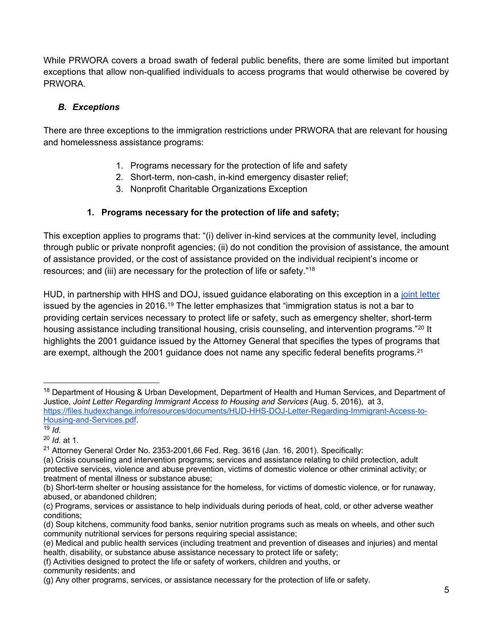While PRWORA covers a broad swath of federal public benefits, there are some limited but important exceptions that allow non-qualified individuals to access programs that would otherwise be covered by PRWORA.

### <span id="page-4-0"></span>*B. Exceptions*

There are three exceptions to the immigration restrictions under PRWORA that are relevant for housing and homelessness assistance programs:

- 1. Programs necessary for the protection of life and safety
- 2. Short-term, non-cash, in-kind emergency disaster relief;
- 3. Nonprofit Charitable Organizations Exception

### **1. Programs necessary for the protection of life and safety;**

<span id="page-4-1"></span>This exception applies to programs that: "(i) deliver in-kind services at the community level, including through public or private nonprofit agencies; (ii) do not condition the provision of assistance, the amount of assistance provided, or the cost of assistance provided on the individual recipient's income or resources; and (iii) are necessary for the protection of life or safety."<sup>18</sup>

HUD, in partnership with HHS and DOJ, issued guidance elaborating on this exception in a [joint letter](https://files.hudexchange.info/resources/documents/HUD-HHS-DOJ-Letter-Regarding-Immigrant-Access-to-Housing-and-Services.pdf) issued by the agencies in 2016.<sup>19</sup> The letter emphasizes that "immigration status is not a bar to providing certain services necessary to protect life or safety, such as emergency shelter, short-term housing assistance including transitional housing, crisis counseling, and intervention programs."<sup>20</sup> It highlights the 2001 guidance issued by the Attorney General that specifies the types of programs that are exempt, although the 2001 guidance does not name any specific federal benefits programs.<sup>21</sup>

<sup>&</sup>lt;sup>18</sup> Department of Housing & Urban Development, Department of Health and Human Services, and Department of Justice, *Joint Letter Regarding Immigrant Access to Housing and Services* (Aug. 5, 2016), at 3, [https://files.hudexchange.info/resources/documents/HUD-HHS-DOJ-Letter-Regarding-Immigrant-Access-to-](https://files.hudexchange.info/resources/documents/HUD-HHS-DOJ-Letter-Regarding-Immigrant-Access-to-Housing-and-Services.pdf)[Housing-and-Services.pdf.](https://files.hudexchange.info/resources/documents/HUD-HHS-DOJ-Letter-Regarding-Immigrant-Access-to-Housing-and-Services.pdf)

 $19$  *Id.* 

<sup>20</sup> *Id.* at 1.

 $21$  Attorney General Order No. 2353-2001,66 Fed. Reg. 3616 (Jan. 16, 2001). Specifically:

<sup>(</sup>a) Crisis counseling and intervention programs; services and assistance relating to child protection, adult protective services, violence and abuse prevention, victims of domestic violence or other criminal activity; or treatment of mental illness or substance abuse;

<sup>(</sup>b) Short-term shelter or housing assistance for the homeless, for victims of domestic violence, or for runaway, abused, or abandoned children;

<sup>(</sup>c) Programs, services or assistance to help individuals during periods of heat, cold, or other adverse weather conditions;

<sup>(</sup>d) Soup kitchens, community food banks, senior nutrition programs such as meals on wheels, and other such community nutritional services for persons requiring special assistance;

<sup>(</sup>e) Medical and public health services (including treatment and prevention of diseases and injuries) and mental health, disability, or substance abuse assistance necessary to protect life or safety;

<sup>(</sup>f) Activities designed to protect the life or safety of workers, children and youths, or community residents; and

<sup>(</sup>g) Any other programs, services, or assistance necessary for the protection of life or safety.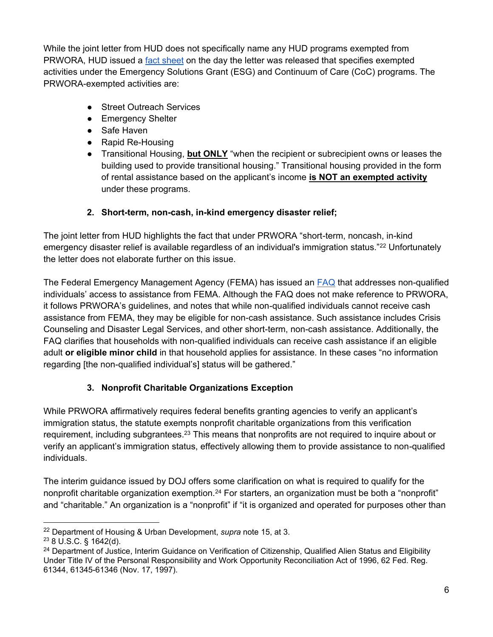While the joint letter from HUD does not specifically name any HUD programs exempted from PRWORA, HUD issued a [fact sheet](https://files.hudexchange.info/resources/documents/PRWORA-Fact-Sheet.pdf) on the day the letter was released that specifies exempted activities under the Emergency Solutions Grant (ESG) and Continuum of Care (CoC) programs. The PRWORA-exempted activities are:

- Street Outreach Services
- Emergency Shelter
- Safe Haven
- Rapid Re-Housing
- Transitional Housing, **but ONLY** "when the recipient or subrecipient owns or leases the building used to provide transitional housing." Transitional housing provided in the form of rental assistance based on the applicant's income **is NOT an exempted activity** under these programs.

### **2. Short-term, non-cash, in-kind emergency disaster relief;**

<span id="page-5-0"></span>The joint letter from HUD highlights the fact that under PRWORA "short-term, noncash, in-kind emergency disaster relief is available regardless of an individual's immigration status."<sup>22</sup> Unfortunately the letter does not elaborate further on this issue.

The Federal Emergency Management Agency (FEMA) has issued an **FAQ** that addresses non-qualified individuals' access to assistance from FEMA. Although the FAQ does not make reference to PRWORA, it follows PRWORA's guidelines, and notes that while non-qualified individuals cannot receive cash assistance from FEMA, they may be eligible for non-cash assistance. Such assistance includes Crisis Counseling and Disaster Legal Services, and other short-term, non-cash assistance. Additionally, the FAQ clarifies that households with non-qualified individuals can receive cash assistance if an eligible adult **or eligible minor child** in that household applies for assistance. In these cases "no information regarding [the non-qualified individual's] status will be gathered."

## **3. Nonprofit Charitable Organizations Exception**

<span id="page-5-1"></span>While PRWORA affirmatively requires federal benefits granting agencies to verify an applicant's immigration status, the statute exempts nonprofit charitable organizations from this verification requirement, including subgrantees.<sup>23</sup> This means that nonprofits are not required to inquire about or verify an applicant's immigration status, effectively allowing them to provide assistance to non-qualified individuals.

The interim guidance issued by DOJ offers some clarification on what is required to qualify for the nonprofit charitable organization exemption.<sup>24</sup> For starters, an organization must be both a "nonprofit" and "charitable." An organization is a "nonprofit" if "it is organized and operated for purposes other than

<sup>22</sup> Department of Housing & Urban Development, *supra* note 15, at 3.

<sup>23</sup> 8 U.S.C. § 1642(d).

<sup>&</sup>lt;sup>24</sup> Department of Justice, Interim Guidance on Verification of Citizenship, Qualified Alien Status and Eligibility Under Title IV of the Personal Responsibility and Work Opportunity Reconciliation Act of 1996, 62 Fed. Reg. 61344, 61345-61346 (Nov. 17, 1997).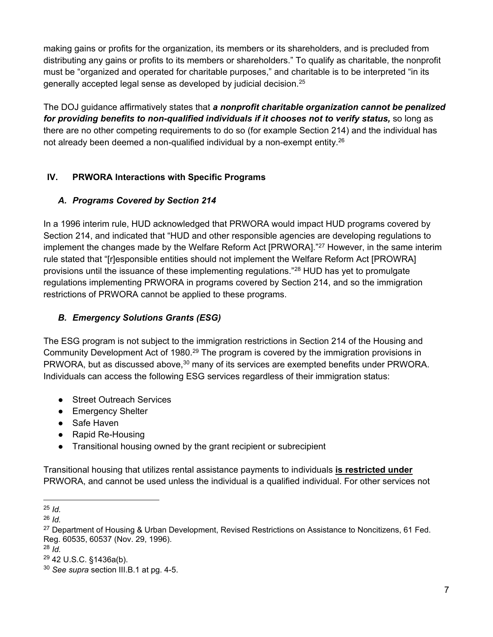making gains or profits for the organization, its members or its shareholders, and is precluded from distributing any gains or profits to its members or shareholders." To qualify as charitable, the nonprofit must be "organized and operated for charitable purposes," and charitable is to be interpreted "in its generally accepted legal sense as developed by judicial decision.<sup>25</sup>

The DOJ guidance affirmatively states that *a nonprofit charitable organization cannot be penalized for providing benefits to non-qualified individuals if it chooses not to verify status,* so long as there are no other competing requirements to do so (for example Section 214) and the individual has not already been deemed a non-qualified individual by a non-exempt entity.<sup>26</sup>

#### <span id="page-6-0"></span>**IV. PRWORA Interactions with Specific Programs**

#### <span id="page-6-1"></span>*A. Programs Covered by Section 214*

In a 1996 interim rule, HUD acknowledged that PRWORA would impact HUD programs covered by Section 214, and indicated that "HUD and other responsible agencies are developing regulations to implement the changes made by the Welfare Reform Act [PRWORA]."<sup>27</sup> However, in the same interim rule stated that "[r]esponsible entities should not implement the Welfare Reform Act [PROWRA] provisions until the issuance of these implementing regulations."<sup>28</sup> HUD has yet to promulgate regulations implementing PRWORA in programs covered by Section 214, and so the immigration restrictions of PRWORA cannot be applied to these programs.

### <span id="page-6-2"></span>*B. Emergency Solutions Grants (ESG)*

The ESG program is not subject to the immigration restrictions in Section 214 of the Housing and Community Development Act of 1980.<sup>29</sup> The program is covered by the immigration provisions in PRWORA, but as discussed above,<sup>30</sup> many of its services are exempted benefits under PRWORA. Individuals can access the following ESG services regardless of their immigration status:

- Street Outreach Services
- Emergency Shelter
- Safe Haven
- Rapid Re-Housing
- Transitional housing owned by the grant recipient or subrecipient

Transitional housing that utilizes rental assistance payments to individuals **is restricted under**  PRWORA, and cannot be used unless the individual is a qualified individual. For other services not

<sup>25</sup> *Id.*

<sup>26</sup> *Id.*

<sup>&</sup>lt;sup>27</sup> Department of Housing & Urban Development, Revised Restrictions on Assistance to Noncitizens, 61 Fed. Reg. 60535, 60537 (Nov. 29, 1996).

<sup>28</sup> *Id.*

<sup>29</sup> 42 U.S.C. §1436a(b).

<sup>30</sup> *See supra* section III.B.1 at pg. 4-5.